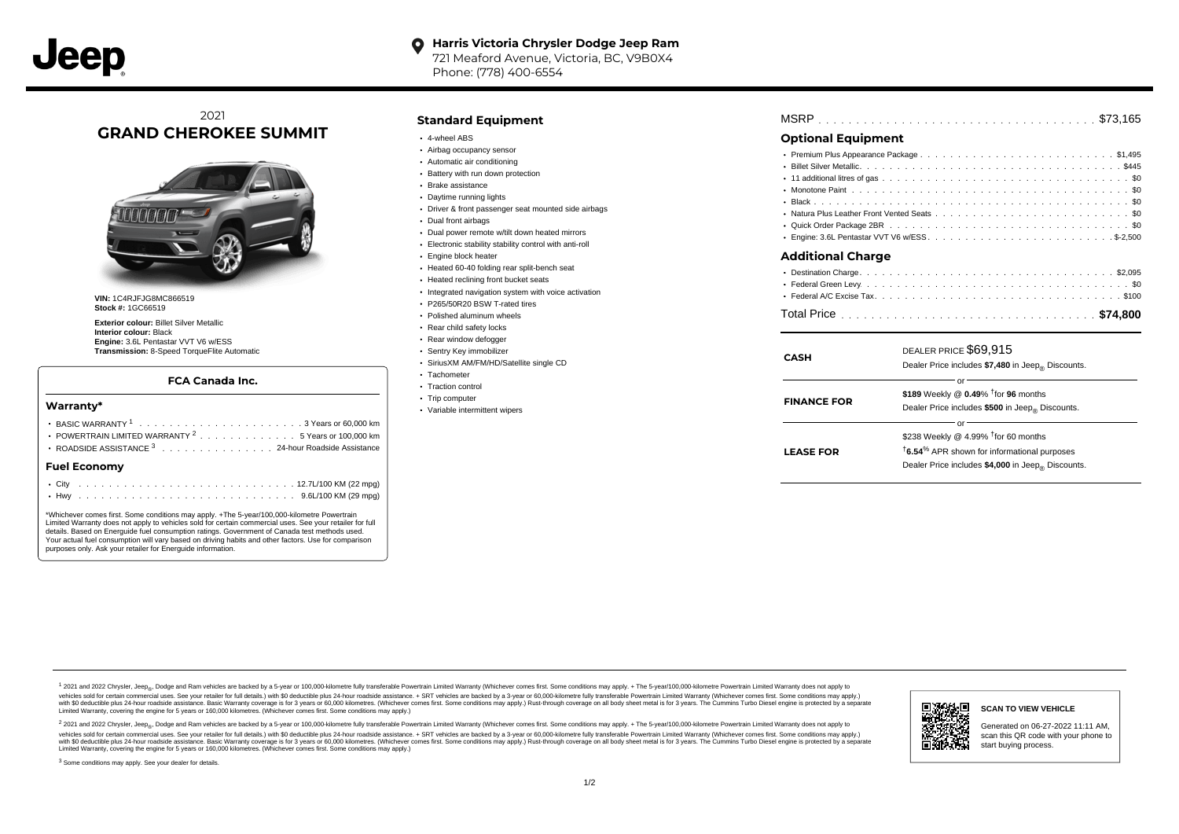#### **Harris Victoria Chrysler Dodge Jeep Ram**  $\bullet$

721 Meaford Avenue, Victoria, BC, V9B0X4 Phone: (778) 400-6554

# 2021 **GRAND CHEROKEE SUMMIT**



**VIN:** 1C4RJFJG8MC866519 **Stock #:** 1GC66519

**Exterior colour:** Billet Silver Metallic **Interior colour:** Black **Engine:** 3.6L Pentastar VVT V6 w/ESS **Transmission:** 8-Speed TorqueFlite Automatic

#### **FCA Canada Inc.**

#### **Warranty\***

| POWERTRAIN LIMITED WARRANTY <sup>2</sup> 5 Years or 100,000 km |  |  |  |  |  |  |  |  |  |  |  |  |  |  |  |  |  |  |  |
|----------------------------------------------------------------|--|--|--|--|--|--|--|--|--|--|--|--|--|--|--|--|--|--|--|
| ROADSIDE ASSISTANCE 3 24-hour Roadside Assistance              |  |  |  |  |  |  |  |  |  |  |  |  |  |  |  |  |  |  |  |
| Fuel Economv                                                   |  |  |  |  |  |  |  |  |  |  |  |  |  |  |  |  |  |  |  |
|                                                                |  |  |  |  |  |  |  |  |  |  |  |  |  |  |  |  |  |  |  |
|                                                                |  |  |  |  |  |  |  |  |  |  |  |  |  |  |  |  |  |  |  |

\*Whichever comes first. Some conditions may apply. +The 5-year/100,000-kilometre Powertrain Limited Warranty does not apply to vehicles sold for certain commercial uses. See your retailer for full details. Based on Energuide fuel consumption ratings. Government of Canada test methods used. Your actual fuel consumption will vary based on driving habits and other factors. Use for comparison purposes only. Ask your retailer for Energuide information.

### **Standard Equipment**

- 4-wheel ABS
- Airbag occupancy sensor
- Automatic air conditioning
- Battery with run down protection
- Brake assistance
- Daytime running lights
- Driver & front passenger seat mounted side airbags
- Dual front airbags
- Dual power remote w/tilt down heated mirrors
- Electronic stability stability control with anti-roll
- Engine block heater
- Heated 60-40 folding rear split-bench seat
- Heated reclining front bucket seats
- $\cdot$  Integrated navigation system with voice activation
- P265/50R20 BSW T-rated tires
- Polished aluminum wheels
- Rear child safety locks
- Rear window defogger
- Sentry Key immobilizer
- SiriusXM AM/FM/HD/Satellite single CD
- Tachometer
- Traction control
- Trip computer
- Variable intermittent wipers

| MSRP |  |  |  |  |  |  |  |  |  |  |  |  |  |  |  |  |  |  |  |  |  |  |
|------|--|--|--|--|--|--|--|--|--|--|--|--|--|--|--|--|--|--|--|--|--|--|
|      |  |  |  |  |  |  |  |  |  |  |  |  |  |  |  |  |  |  |  |  |  |  |

## **Optional Equipment**

| Additional Charge |  |
|-------------------|--|
|                   |  |
|                   |  |
|                   |  |

## . . . . . . . . . . . . . . . . . . . . . . . . . . . . . . . . . . . . . . . . . . . . . . Total Price **\$74,800**

| CASH               | DEALER PRICE \$69,915<br>Dealer Price includes \$7,480 in Jeep <sub>®</sub> Discounts.                                                                                               |
|--------------------|--------------------------------------------------------------------------------------------------------------------------------------------------------------------------------------|
| <b>FINANCE FOR</b> | Ωľ<br>\$189 Weekly @ 0.49% <sup>†</sup> for 96 months<br>Dealer Price includes \$500 in Jeep® Discounts.                                                                             |
| <b>LEASE FOR</b>   | or<br>\$238 Weekly @ 4.99% $†$ for 60 months<br><sup>t</sup> 6.54 <sup>%</sup> APR shown for informational purposes<br>Dealer Price includes \$4,000 in Jeep <sub>®</sub> Discounts. |

1 2021 and 2022 Chrysler, Jeep<sub>en</sub> Dodge and Ram vehicles are backed by a 5-year or 100,000-kilometre fully transferable Powertrain Limited Warranty (Whichever comes first. Some conditions may apply. + The 5-year/100,000-k vehicles sold for certain commercial uses. See your retailer for full details.) with \$0 deductible plus 24-hour roadside assistance. + SRT vehicles are backed by a 3-year or 60,000-kilometre fully transferable Powertrain L versus and contract the mean of the contract of the contract with a contract with a contract the contract of the search of the contract and a control of the contract and contract and control of the search of the search of Limited Warranty, covering the engine for 5 years or 160,000 kilometres. (Whichever comes first. Some conditions may apply.)

<sup>2</sup> 2021 and 2022 Chrysler, Jeep<sub>®</sub>, Dodge and Ram vehicles are backed by a 5-year or 100,000-kilometre fully transferable Powertrain Limited Warranty (Whichever comes first. Some conditions may apply. + The 5-year/100,000 vehicles sold for certain commercial uses. See your retailer for full details.) with SO deductible plus 24-hour roadside assistance. + SRT vehicles are backed by a 3-year or 60.000-kilometre fully transferable Powertrain L with S0 deductible plus 24-hour roadside assistance. Basic Warranty coverage is for 3 years or 60,000 kilometres. (Whichever comes first. Some conditions may apply.) Rust-through coverage on all body sheet metal is for 3 y



Generated on 06-27-2022 11:11 AM, scan this QR code with your phone to start buying process.